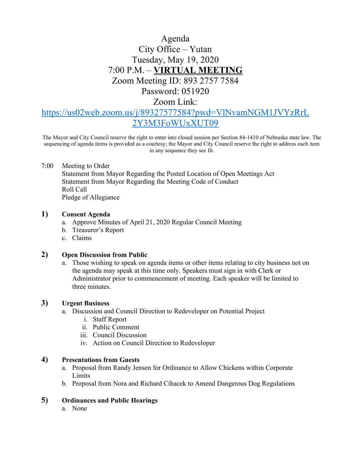# Agenda City Office – Yutan Tuesday, May 19, 2020 7:00 P.M. – **VIRTUAL MEETING** Zoom Meeting ID: 893 2757 7584 Password: 051920

Zoom Link:

## [https://us02web.zoom.us/j/89327577584?pwd=VlNvamNGM1JVYzRrL](https://us02web.zoom.us/j/89327577584?pwd=VlNvamNGM1JVYzRrL2Y3M3FoWUxXUT09) [2Y3M3FoWUxXUT09](https://us02web.zoom.us/j/89327577584?pwd=VlNvamNGM1JVYzRrL2Y3M3FoWUxXUT09)

The Mayor and City Council reserve the right to enter into closed session per Section 84-1410 of Nebraska state law. The sequencing of agenda items is provided as a courtesy; the Mayor and City Council reserve the right to address each item in any sequence they see fit.

#### 7:00 Meeting to Order

Statement from Mayor Regarding the Posted Location of Open Meetings Act Statement from Mayor Regarding the Meeting Code of Conduct Roll Call Pledge of Allegiance

#### **1) Consent Agenda**

- a. Approve Minutes of April 21, 2020 Regular Council Meeting
- b. Treasurer's Report
- c. Claims

#### **2) Open Discussion from Public**

a. Those wishing to speak on agenda items or other items relating to city business not on the agenda may speak at this time only. Speakers must sign in with Clerk or Administrator prior to commencement of meeting. Each speaker will be limited to three minutes.

## **3) Urgent Business**

- a. Discussion and Council Direction to Redeveloper on Potential Project
	- i. Staff Report
	- ii. Public Comment
	- iii. Council Discussion
	- iv. Action on Council Direction to Redeveloper

#### **4) Presentations from Guests**

- a. Proposal from Randy Jensen for Ordinance to Allow Chickens within Corporate Limits
- b. Proposal from Nora and Richard Cihacek to Amend Dangerous Dog Regulations

## **5) Ordinances and Public Hearings**

a. None